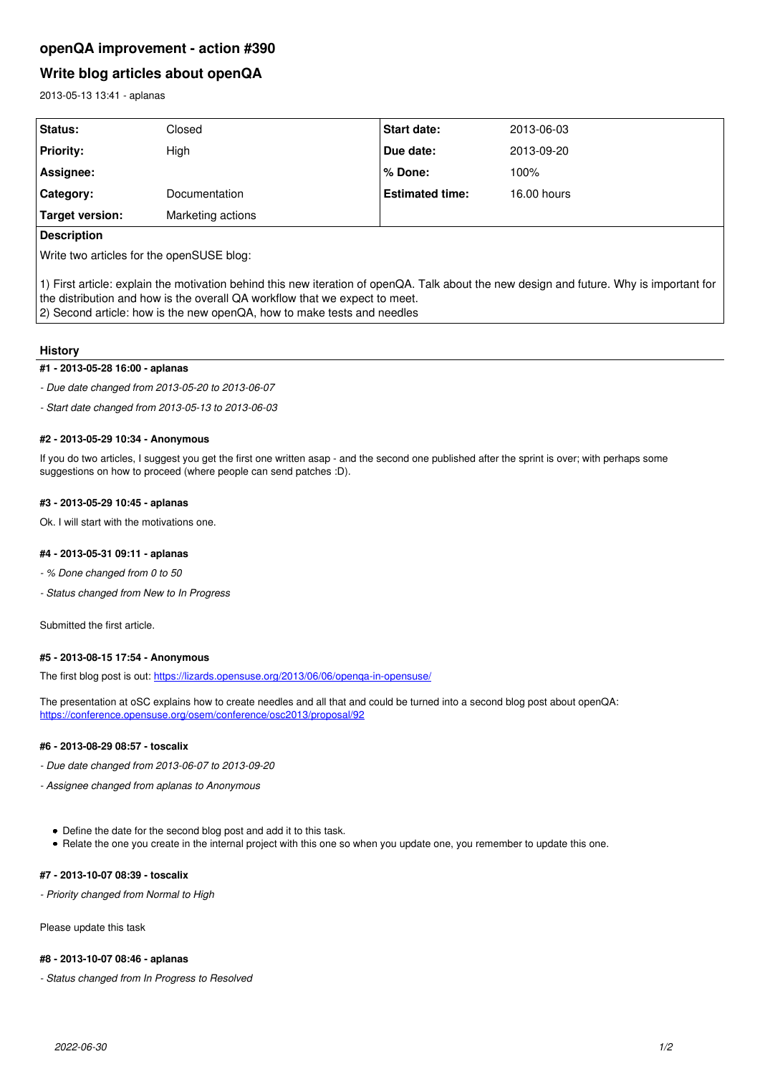# **openQA improvement - action #390**

# **Write blog articles about openQA**

2013-05-13 13:41 - aplanas

| <b>Status:</b>         | Closed               | <b>Start date:</b>     | 2013-06-03    |
|------------------------|----------------------|------------------------|---------------|
| <b>Priority:</b>       | High                 | Due date:              | 2013-09-20    |
| Assignee:              |                      | l% Done:               | 100%          |
| Category:              | <b>Documentation</b> | <b>Estimated time:</b> | $16.00$ hours |
| <b>Target version:</b> | Marketing actions    |                        |               |
|                        |                      |                        |               |

#### **Description**

Write two articles for the openSUSE blog:

1) First article: explain the motivation behind this new iteration of openQA. Talk about the new design and future. Why is important for the distribution and how is the overall QA workflow that we expect to meet. 2) Second article: how is the new openQA, how to make tests and needles

### **History**

#### **#1 - 2013-05-28 16:00 - aplanas**

*- Due date changed from 2013-05-20 to 2013-06-07*

*- Start date changed from 2013-05-13 to 2013-06-03*

#### **#2 - 2013-05-29 10:34 - Anonymous**

If you do two articles, I suggest you get the first one written asap - and the second one published after the sprint is over; with perhaps some suggestions on how to proceed (where people can send patches :D).

#### **#3 - 2013-05-29 10:45 - aplanas**

Ok. I will start with the motivations one.

#### **#4 - 2013-05-31 09:11 - aplanas**

*- % Done changed from 0 to 50*

*- Status changed from New to In Progress*

Submitted the first article.

#### **#5 - 2013-08-15 17:54 - Anonymous**

The first blog post is out: <https://lizards.opensuse.org/2013/06/06/openqa-in-opensuse/>

The presentation at oSC explains how to create needles and all that and could be turned into a second blog post about openQA: <https://conference.opensuse.org/osem/conference/osc2013/proposal/92>

## **#6 - 2013-08-29 08:57 - toscalix**

*- Due date changed from 2013-06-07 to 2013-09-20*

- *Assignee changed from aplanas to Anonymous*
	- Define the date for the second blog post and add it to this task.
	- Relate the one you create in the internal project with this one so when you update one, you remember to update this one.

# **#7 - 2013-10-07 08:39 - toscalix**

*- Priority changed from Normal to High*

Please update this task

#### **#8 - 2013-10-07 08:46 - aplanas**

*- Status changed from In Progress to Resolved*